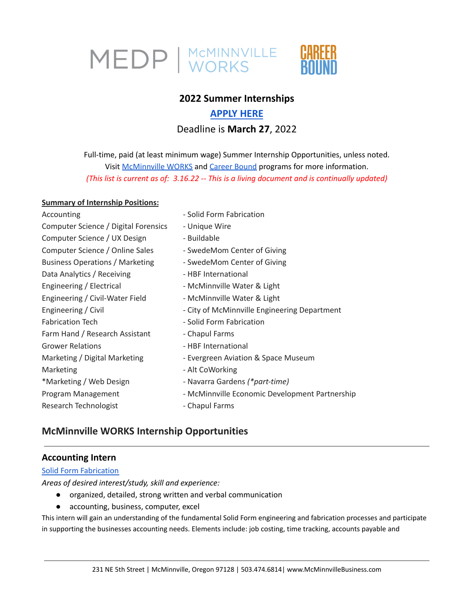

# **2022 Summer Internships**

# **[APPLY](https://www.mcminnvillebusiness.com/2022-internship-application-form) HERE** Deadline is **March 27**, 2022

Full-time, paid (at least minimum wage) Summer Internship Opportunities, unless noted. Visit [McMinnville](https://www.mcminnvillebusiness.com/mcminnville-works-internship-program) WORKS and [Career](https://www.mcminnvillebusiness.com/career-bound-program) Bound programs for more information. *(This list is current as of: 3.16.22 -- This is a living document and is continually updated)*

#### **Summary of Internship Positions:**

| Accounting                             | - Solid Form Fabrication                       |
|----------------------------------------|------------------------------------------------|
| Computer Science / Digital Forensics   | - Unique Wire                                  |
| Computer Science / UX Design           | - Buildable                                    |
| Computer Science / Online Sales        | - SwedeMom Center of Giving                    |
| <b>Business Operations / Marketing</b> | - SwedeMom Center of Giving                    |
| Data Analytics / Receiving             | - HBF International                            |
| Engineering / Electrical               | - McMinnville Water & Light                    |
| Engineering / Civil-Water Field        | - McMinnville Water & Light                    |
| Engineering / Civil                    | - City of McMinnville Engineering Department   |
| <b>Fabrication Tech</b>                | - Solid Form Fabrication                       |
| Farm Hand / Research Assistant         | - Chapul Farms                                 |
| <b>Grower Relations</b>                | - HBF International                            |
| Marketing / Digital Marketing          | - Evergreen Aviation & Space Museum            |
| Marketing                              | - Alt CoWorking                                |
| *Marketing / Web Design                | - Navarra Gardens (*part-time)                 |
| Program Management                     | - McMinnville Economic Development Partnership |
| Research Technologist                  | - Chapul Farms                                 |
|                                        |                                                |

# **McMinnville WORKS Internship Opportunities**

# **Accounting Intern**

#### **Solid Form [Fabrication](https://teamsolidform.com/)**

*Areas of desired interest/study, skill and experience:*

- organized, detailed, strong written and verbal communication
- accounting, business, computer, excel

This intern will gain an understanding of the fundamental Solid Form engineering and fabrication processes and participate in supporting the businesses accounting needs. Elements include: job costing, time tracking, accounts payable and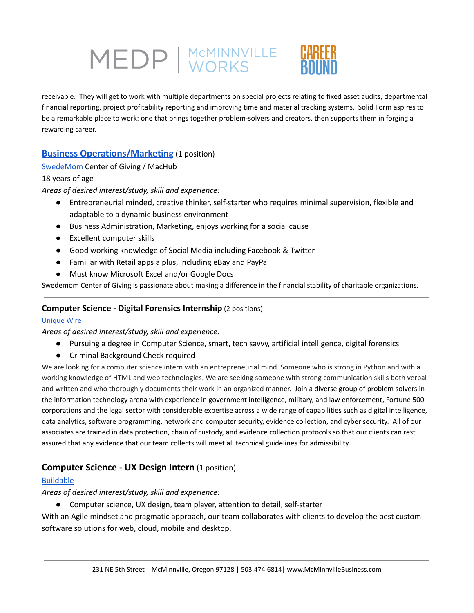# MEDP | MCMINNVILLE

receivable. They will get to work with multiple departments on special projects relating to fixed asset audits, departmental financial reporting, project profitability reporting and improving time and material tracking systems. Solid Form aspires to be a remarkable place to work: one that brings together problem-solvers and creators, then supports them in forging a rewarding career.

# **Business [Operations/Marketing](https://www.mcminnvillebusiness.com/pub/doc/Job-Description-Online-Sales-Marketing-Swedemom-Internships-2022.pdf)** (1 position)

# [SwedeMom](https://www.swedemomcenterofgiving.org/) Center of Giving / MacHub

# 18 years of age

*Areas of desired interest/study, skill and experience:*

- Entrepreneurial minded, creative thinker, self-starter who requires minimal supervision, flexible and adaptable to a dynamic business environment
- Business Administration, Marketing, enjoys working for a social cause
- Excellent computer skills
- Good working knowledge of Social Media including Facebook & Twitter
- Familiar with Retail apps a plus, including eBay and PayPal
- Must know Microsoft Excel and/or Google Docs

Swedemom Center of Giving is passionate about making a difference in the financial stability of charitable organizations.

# **Computer Science - Digital Forensics Internship** (2 positions)

#### [Unique](https://www.unique-wire.com/unique-wire-legal-defense-services?gclid=Cj0KCQiAr5iQBhCsARIsAPcwROOxiv2MRZhLFROonkflASzsFT8kw-5-driLkjn1vS1UgGdn4NjcSkkaAtVCEALw_wcB) Wire

*Areas of desired interest/study, skill and experience:*

- Pursuing a degree in Computer Science, smart, tech savvy, artificial intelligence, digital forensics
- Criminal Background Check required

We are looking for a computer science intern with an entrepreneurial mind. Someone who is strong in Python and with a working knowledge of HTML and web technologies. We are seeking someone with strong communication skills both verbal and written and who thoroughly documents their work in an organized manner. Join a diverse group of problem solvers in the information technology arena with experience in government intelligence, military, and law enforcement, Fortune 500 corporations and the legal sector with considerable expertise across a wide range of capabilities such as digital intelligence, data analytics, software programming, network and computer security, evidence collection, and cyber security. All of our associates are trained in data protection, chain of custody, and evidence collection protocols so that our clients can rest assured that any evidence that our team collects will meet all technical guidelines for admissibility.

# **Computer Science - UX Design Intern** (1 position)

# [Buildable](https://www.buildableworks.com/)

*Areas of desired interest/study, skill and experience:*

● Computer science, UX design, team player, attention to detail, self-starter

With an Agile mindset and pragmatic approach, our team collaborates with clients to develop the best custom software solutions for web, cloud, mobile and desktop.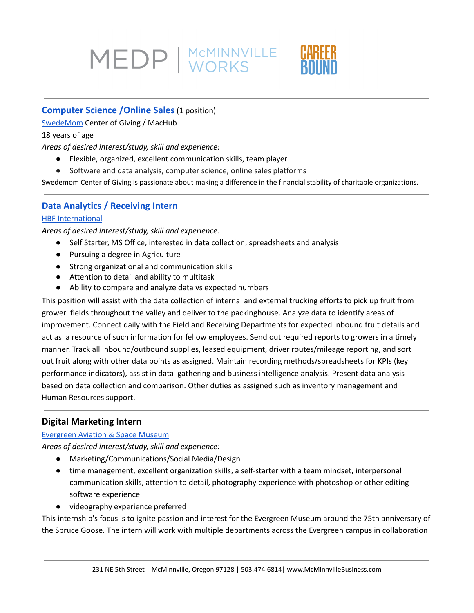# MEDP | MCMINNVILLE

# **[Computer](https://www.mcminnvillebusiness.com/pub/doc/Job-Description-Online-Sales-Marketing-Swedemom-Internships-2022.pdf) Science /Online Sales**(1 position)

[SwedeMom](https://www.swedemomcenterofgiving.org/) Center of Giving / MacHub

#### 18 years of age

*Areas of desired interest/study, skill and experience:*

- Flexible, organized, excellent communication skills, team player
- Software and data analysis, computer science, online sales platforms

Swedemom Center of Giving is passionate about making a difference in the financial stability of charitable organizations.

# **Data Analytics / [Receiving](https://www.mcminnvillebusiness.com/pub/doc/Job-Description_Data-Analytics-Coordinator_Intern-HBF_2022.pdf) Intern**

#### **HBF [International](https://hbfberries.com/)**

*Areas of desired interest/study, skill and experience:*

- Self Starter, MS Office, interested in data collection, spreadsheets and analysis
- Pursuing a degree in Agriculture
- Strong organizational and communication skills
- Attention to detail and ability to multitask
- Ability to compare and analyze data vs expected numbers

This position will assist with the data collection of internal and external trucking efforts to pick up fruit from grower fields throughout the valley and deliver to the packinghouse. Analyze data to identify areas of improvement. Connect daily with the Field and Receiving Departments for expected inbound fruit details and act as a resource of such information for fellow employees. Send out required reports to growers in a timely manner. Track all inbound/outbound supplies, leased equipment, driver routes/mileage reporting, and sort out fruit along with other data points as assigned. Maintain recording methods/spreadsheets for KPIs (key performance indicators), assist in data gathering and business intelligence analysis. Present data analysis based on data collection and comparison. Other duties as assigned such as inventory management and Human Resources support.

# **Digital Marketing Intern**

# [Evergreen](https://www.evergreenmuseum.org/) Aviation & Space Museum

*Areas of desired interest/study, skill and experience:*

- Marketing/Communications/Social Media/Design
- time management, excellent organization skills, a self-starter with a team mindset, interpersonal communication skills, attention to detail, photography experience with photoshop or other editing software experience
- videography experience preferred

This internship's focus is to ignite passion and interest for the Evergreen Museum around the 75th anniversary of the Spruce Goose. The intern will work with multiple departments across the Evergreen campus in collaboration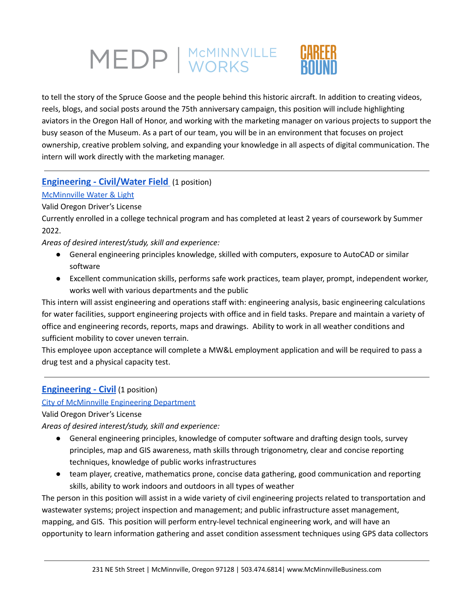

to tell the story of the Spruce Goose and the people behind this historic aircraft. In addition to creating videos, reels, blogs, and social posts around the 75th anniversary campaign, this position will include highlighting aviators in the Oregon Hall of Honor, and working with the marketing manager on various projects to support the busy season of the Museum. As a part of our team, you will be in an environment that focuses on project ownership, creative problem solving, and expanding your knowledge in all aspects of digital communication. The intern will work directly with the marketing manager.

# **[Engineering](https://www.mcminnvillebusiness.com/pub/doc/Job-Description-Civil-Engineering-Intern-MWL-2022.pdf) - Civil/Water Field** (1 position)

# [McMinnville](https://www.mc-power.com/about/history/) Water & Light

Valid Oregon Driver's License

Currently enrolled in a college technical program and has completed at least 2 years of coursework by Summer 2022.

*Areas of desired interest/study, skill and experience:*

- General engineering principles knowledge, skilled with computers, exposure to AutoCAD or similar software
- Excellent communication skills, performs safe work practices, team player, prompt, independent worker, works well with various departments and the public

This intern will assist engineering and operations staff with: engineering analysis, basic engineering calculations for water facilities, support engineering projects with office and in field tasks. Prepare and maintain a variety of office and engineering records, reports, maps and drawings. Ability to work in all weather conditions and sufficient mobility to cover uneven terrain.

This employee upon acceptance will complete a MW&L employment application and will be required to pass a drug test and a physical capacity test.

# **[Engineering](https://www.mcminnvillebusiness.com/pub/doc/Job-Description-City-of-McMinnville-Engineering-Internship-2022.pdf) - Civil** (1 position)

#### City of [McMinnville](https://www.mcminnvilleoregon.gov/engineering) Engineering Department

Valid Oregon Driver's License

*Areas of desired interest/study, skill and experience:*

- General engineering principles, knowledge of computer software and drafting design tools, survey principles, map and GIS awareness, math skills through trigonometry, clear and concise reporting techniques, knowledge of public works infrastructures
- team player, creative, mathematics prone, concise data gathering, good communication and reporting skills, ability to work indoors and outdoors in all types of weather

The person in this position will assist in a wide variety of civil engineering projects related to transportation and wastewater systems; project inspection and management; and public infrastructure asset management, mapping, and GIS. This position will perform entry-level technical engineering work, and will have an opportunity to learn information gathering and asset condition assessment techniques using GPS data collectors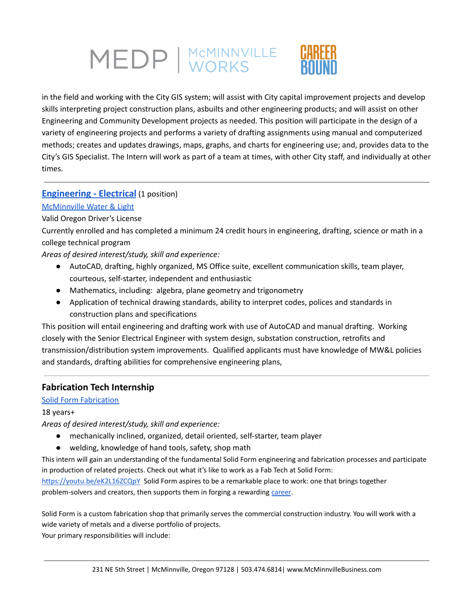

in the field and working with the City GIS system; will assist with City capital improvement projects and develop skills interpreting project construction plans, asbuilts and other engineering products; and will assist on other Engineering and Community Development projects as needed. This position will participate in the design of a variety of engineering projects and performs a variety of drafting assignments using manual and computerized methods; creates and updates drawings, maps, graphs, and charts for engineering use; and, provides data to the City's GIS Specialist. The Intern will work as part of a team at times, with other City staff, and individually at other times.

# **[Engineering](https://www.mcminnvillebusiness.com/pub/doc/Job-Description-Electrical-Engineering-Intern-MWL-2022.pdf) - Electrical** (1 position)

# [McMinnville](https://www.mc-power.com/about/history/) Water & Light

# Valid Oregon Driver's License

Currently enrolled and has completed a minimum 24 credit hours in engineering, drafting, science or math in a college technical program

*Areas of desired interest/study, skill and experience:*

- AutoCAD, drafting, highly organized, MS Office suite, excellent communication skills, team player, courteous, self-starter, independent and enthusiastic
- Mathematics, including: algebra, plane geometry and trigonometry
- Application of technical drawing standards, ability to interpret codes, polices and standards in construction plans and specifications

This position will entail engineering and drafting work with use of AutoCAD and manual drafting. Working closely with the Senior Electrical Engineer with system design, substation construction, retrofits and transmission/distribution system improvements. Qualified applicants must have knowledge of MW&L policies and standards, drafting abilities for comprehensive engineering plans,

# **Fabrication Tech Internship**

# Solid Form [Fabrication](https://teamsolidform.com/)

# 18 years+

*Areas of desired interest/study, skill and experience:*

- mechanically inclined, organized, detail oriented, self-starter, team player
- welding, knowledge of hand tools, safety, shop math

This intern will gain an understanding of the fundamental Solid Form engineering and fabrication processes and participate in production of related projects. Check out what it's like to work as a Fab Tech at Solid Form:

<https://youtu.be/eK2L16ZCQpY> Solid Form aspires to be a remarkable place to work: one that brings together problem-solvers and creators, then supports them in forging a rewarding [career](https://www.mcminnvillebusiness.com/pub/doc/Solid-Form-Career-Ladder.pdf).

Solid Form is a custom fabrication shop that primarily serves the commercial construction industry. You will work with a wide variety of metals and a diverse portfolio of projects. Your primary responsibilities will include: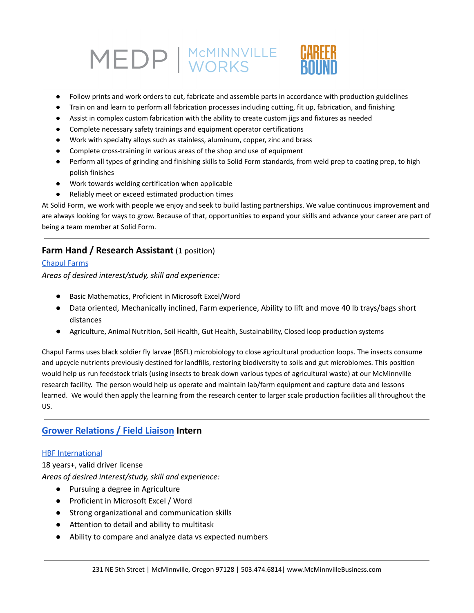



- Follow prints and work orders to cut, fabricate and assemble parts in accordance with production guidelines
- Train on and learn to perform all fabrication processes including cutting, fit up, fabrication, and finishing
- Assist in complex custom fabrication with the ability to create custom jigs and fixtures as needed
- Complete necessary safety trainings and equipment operator certifications
- Work with specialty alloys such as stainless, aluminum, copper, zinc and brass
- Complete cross-training in various areas of the shop and use of equipment
- Perform all types of grinding and finishing skills to Solid Form standards, from weld prep to coating prep, to high polish finishes
- Work towards welding certification when applicable
- Reliably meet or exceed estimated production times

At Solid Form, we work with people we enjoy and seek to build lasting partnerships. We value continuous improvement and are always looking for ways to grow. Because of that, opportunities to expand your skills and advance your career are part of being a team member at Solid Form.

# **Farm Hand / Research Assistant** (1 position)

#### [Chapul](https://www.chapulfarms.com/) Farms

*Areas of desired interest/study, skill and experience:*

- *●* Basic Mathematics, Proficient in Microsoft Excel/Word
- Data oriented, Mechanically inclined, Farm experience, Ability to lift and move 40 lb trays/bags short distances
- Agriculture, Animal Nutrition, Soil Health, Gut Health, Sustainability, Closed loop production systems

Chapul Farms uses black soldier fly larvae (BSFL) microbiology to close agricultural production loops. The insects consume and upcycle nutrients previously destined for landfills, restoring biodiversity to soils and gut microbiomes. This position would help us run feedstock trials (using insects to break down various types of agricultural waste) at our McMinnville research facility. The person would help us operate and maintain lab/farm equipment and capture data and lessons learned. We would then apply the learning from the research center to larger scale production facilities all throughout the US.

# **Grower [Relations](https://www.mcminnvillebusiness.com/pub/doc/Job-Description_Grower-Relations-Support_Intern-HBF_2022.pdf) / Field Liaison Intern**

#### HBF [International](https://hbfberries.com/)

18 years+, valid driver license *Areas of desired interest/study, skill and experience:*

- Pursuing a degree in Agriculture
- Proficient in Microsoft Excel / Word
- Strong organizational and communication skills
- Attention to detail and ability to multitask
- Ability to compare and analyze data vs expected numbers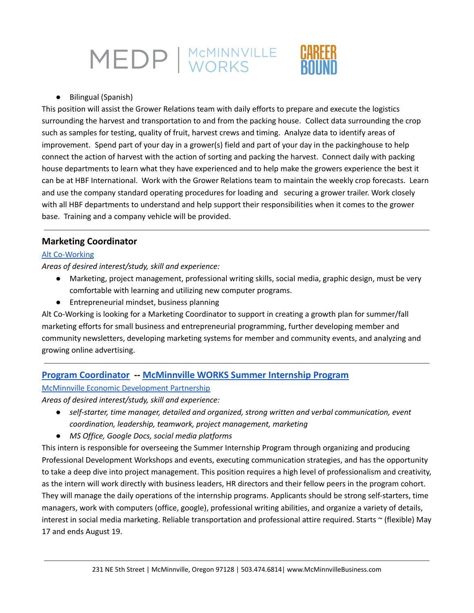

● Bilingual (Spanish)

This position will assist the Grower Relations team with daily efforts to prepare and execute the logistics surrounding the harvest and transportation to and from the packing house. Collect data surrounding the crop such as samples for testing, quality of fruit, harvest crews and timing. Analyze data to identify areas of improvement. Spend part of your day in a grower(s) field and part of your day in the packinghouse to help connect the action of harvest with the action of sorting and packing the harvest. Connect daily with packing house departments to learn what they have experienced and to help make the growers experience the best it can be at HBF International. Work with the Grower Relations team to maintain the weekly crop forecasts. Learn and use the company standard operating procedures for loading and securing a grower trailer. Work closely with all HBF departments to understand and help support their responsibilities when it comes to the grower base. Training and a company vehicle will be provided.

# **Marketing Coordinator**

#### Alt [Co-Working](https://altcoworking.com/)

*Areas of desired interest/study, skill and experience:*

- Marketing, project management, professional writing skills, social media, graphic design, must be very comfortable with learning and utilizing new computer programs.
- Entrepreneurial mindset, business planning

Alt Co-Working is looking for a Marketing Coordinator to support in creating a growth plan for summer/fall marketing efforts for small business and entrepreneurial programming, further developing member and community newsletters, developing marketing systems for member and community events, and analyzing and growing online advertising.

# **Program [Coordinator](https://www.mcminnvillebusiness.com/pub/doc/Job-Description-MEDP-Internship-Coordinator-2022.pdf) -- [McMinnville](https://www.mcminnvillebusiness.com/mcminnville-works-internship-program) WORKS Summer Internship Program**

#### McMinnville Economic [Development](https://www.mcminnvillebusiness.com/) Partnership

*Areas of desired interest/study, skill and experience:*

- *● self-starter, time manager, detailed and organized, strong written and verbal communication, event coordination, leadership, teamwork, project management, marketing*
- *● MS Office, Google Docs, social media platforms*

This intern is responsible for overseeing the Summer Internship Program through organizing and producing Professional Development Workshops and events, executing communication strategies, and has the opportunity to take a deep dive into project management. This position requires a high level of professionalism and creativity, as the intern will work directly with business leaders, HR directors and their fellow peers in the program cohort. They will manage the daily operations of the internship programs. Applicants should be strong self-starters, time managers, work with computers (office, google), professional writing abilities, and organize a variety of details, interest in social media marketing. Reliable transportation and professional attire required. Starts ~ (flexible) May 17 and ends August 19.